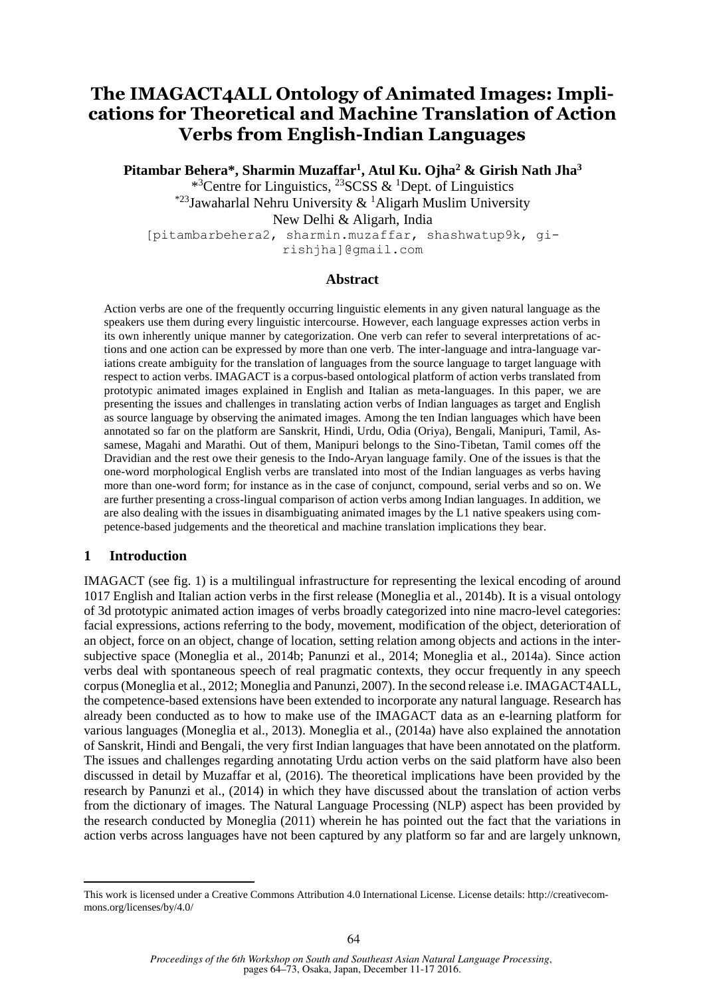# **The IMAGACT4ALL Ontology of Animated Images: Implications for Theoretical and Machine Translation of Action Verbs from English-Indian Languages**

**Pitambar Behera\*, Sharmin Muzaffar<sup>1</sup> , Atul Ku. Ojha<sup>2</sup> & Girish Nath Jha<sup>3</sup>**

\*<sup>3</sup>Centre for Linguistics, <sup>23</sup>SCSS & <sup>1</sup>Dept. of Linguistics \*23Jawaharlal Nehru University & <sup>1</sup>Aligarh Muslim University New Delhi & Aligarh, India

[pitambarbehera2, sharmin.muzaffar, shashwatup9k, girishjha]@gmail.com

#### **Abstract**

Action verbs are one of the frequently occurring linguistic elements in any given natural language as the speakers use them during every linguistic intercourse. However, each language expresses action verbs in its own inherently unique manner by categorization. One verb can refer to several interpretations of actions and one action can be expressed by more than one verb. The inter-language and intra-language variations create ambiguity for the translation of languages from the source language to target language with respect to action verbs. IMAGACT is a corpus-based ontological platform of action verbs translated from prototypic animated images explained in English and Italian as meta-languages. In this paper, we are presenting the issues and challenges in translating action verbs of Indian languages as target and English as source language by observing the animated images. Among the ten Indian languages which have been annotated so far on the platform are Sanskrit, Hindi, Urdu, Odia (Oriya), Bengali, Manipuri, Tamil, Assamese, Magahi and Marathi. Out of them, Manipuri belongs to the Sino-Tibetan, Tamil comes off the Dravidian and the rest owe their genesis to the Indo-Aryan language family. One of the issues is that the one-word morphological English verbs are translated into most of the Indian languages as verbs having more than one-word form; for instance as in the case of conjunct, compound, serial verbs and so on. We are further presenting a cross-lingual comparison of action verbs among Indian languages. In addition, we are also dealing with the issues in disambiguating animated images by the L1 native speakers using competence-based judgements and the theoretical and machine translation implications they bear.

### **1 Introduction**

IMAGACT (see fig. 1) is a multilingual infrastructure for representing the lexical encoding of around 1017 English and Italian action verbs in the first release (Moneglia et al., 2014b). It is a visual ontology of 3d prototypic animated action images of verbs broadly categorized into nine macro-level categories: facial expressions, actions referring to the body, movement, modification of the object, deterioration of an object, force on an object, change of location, setting relation among objects and actions in the intersubjective space (Moneglia et al., 2014b; Panunzi et al., 2014; Moneglia et al., 2014a). Since action verbs deal with spontaneous speech of real pragmatic contexts, they occur frequently in any speech corpus (Moneglia et al., 2012; Moneglia and Panunzi, 2007). In the second release i.e. IMAGACT4ALL, the competence-based extensions have been extended to incorporate any natural language. Research has already been conducted as to how to make use of the IMAGACT data as an e-learning platform for various languages (Moneglia et al., 2013). Moneglia et al., (2014a) have also explained the annotation of Sanskrit, Hindi and Bengali, the very first Indian languages that have been annotated on the platform. The issues and challenges regarding annotating Urdu action verbs on the said platform have also been discussed in detail by Muzaffar et al, (2016). The theoretical implications have been provided by the research by Panunzi et al., (2014) in which they have discussed about the translation of action verbs from the dictionary of images. The Natural Language Processing (NLP) aspect has been provided by the research conducted by Moneglia (2011) wherein he has pointed out the fact that the variations in action verbs across languages have not been captured by any platform so far and are largely unknown,

This work is licensed under a Creative Commons Attribution 4.0 International License. License details: http://creativecommons.org/licenses/by/4.0/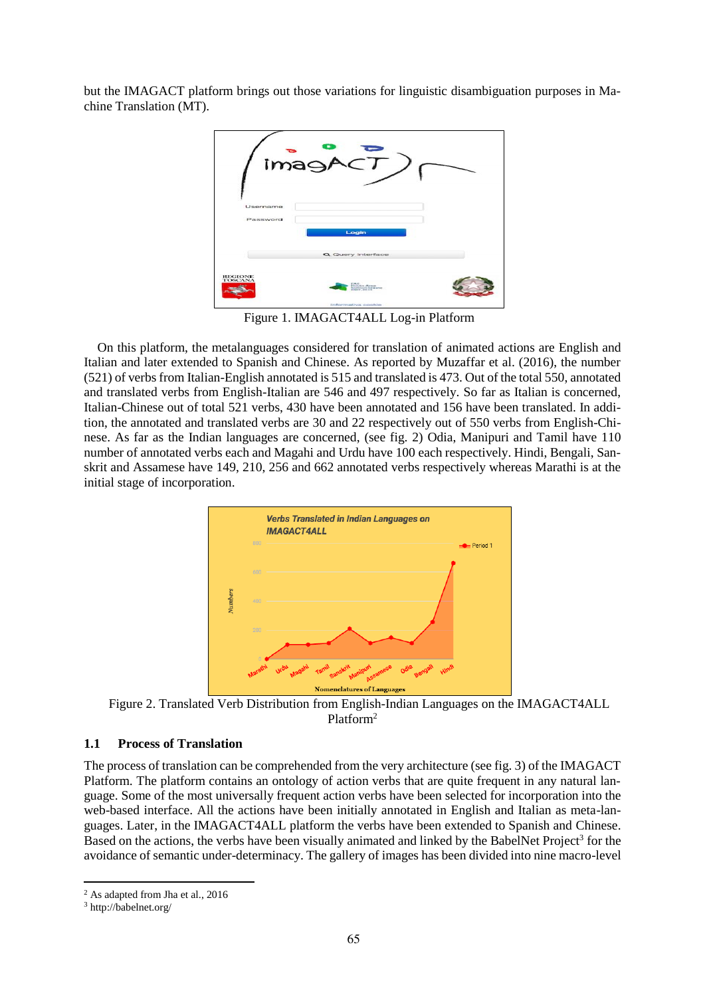but the IMAGACT platform brings out those variations for linguistic disambiguation purposes in Machine Translation (MT).



Figure 1. IMAGACT4ALL Log-in Platform

On this platform, the metalanguages considered for translation of animated actions are English and Italian and later extended to Spanish and Chinese. As reported by Muzaffar et al. (2016), the number (521) of verbs from Italian-English annotated is 515 and translated is 473. Out of the total 550, annotated and translated verbs from English-Italian are 546 and 497 respectively. So far as Italian is concerned, Italian-Chinese out of total 521 verbs, 430 have been annotated and 156 have been translated. In addition, the annotated and translated verbs are 30 and 22 respectively out of 550 verbs from English-Chinese. As far as the Indian languages are concerned, (see fig. 2) Odia, Manipuri and Tamil have 110 number of annotated verbs each and Magahi and Urdu have 100 each respectively. Hindi, Bengali, Sanskrit and Assamese have 149, 210, 256 and 662 annotated verbs respectively whereas Marathi is at the initial stage of incorporation.



Figure 2. Translated Verb Distribution from English-Indian Languages on the IMAGACT4ALL Platform<sup>2</sup>

### **1.1 Process of Translation**

The process of translation can be comprehended from the very architecture (see fig. 3) of the IMAGACT Platform. The platform contains an ontology of action verbs that are quite frequent in any natural language. Some of the most universally frequent action verbs have been selected for incorporation into the web-based interface. All the actions have been initially annotated in English and Italian as meta-languages. Later, in the IMAGACT4ALL platform the verbs have been extended to Spanish and Chinese. Based on the actions, the verbs have been visually animated and linked by the BabelNet Project<sup>3</sup> for the avoidance of semantic under-determinacy. The gallery of images has been divided into nine macro-level

 <sup>2</sup> As adapted from Jha et al., 2016

<sup>3</sup> http://babelnet.org/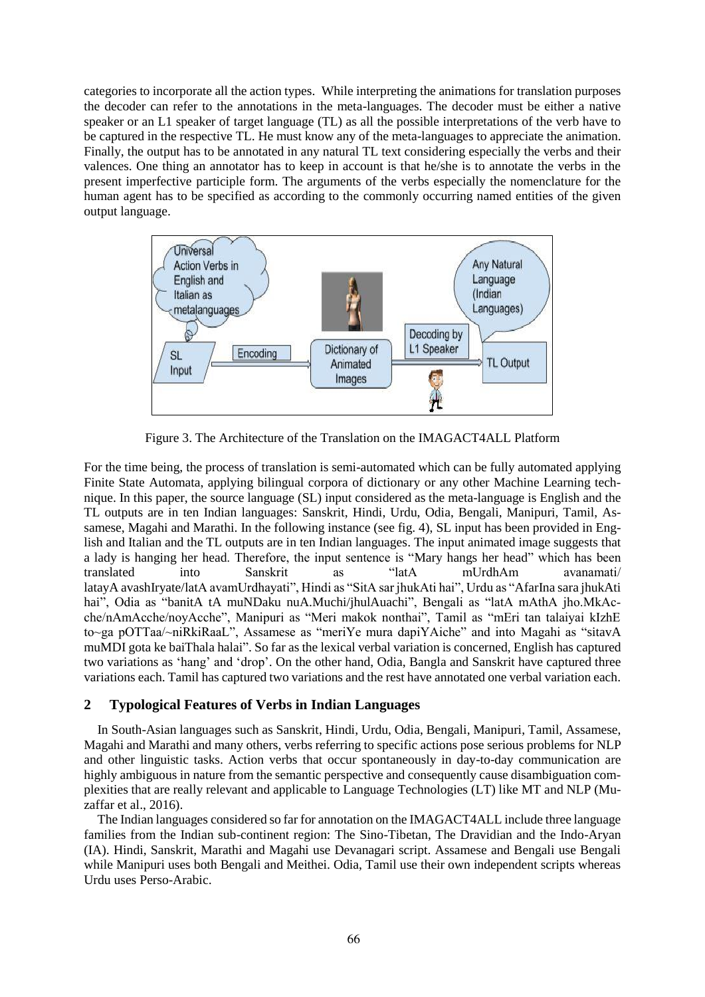categories to incorporate all the action types. While interpreting the animations for translation purposes the decoder can refer to the annotations in the meta-languages. The decoder must be either a native speaker or an L1 speaker of target language (TL) as all the possible interpretations of the verb have to be captured in the respective TL. He must know any of the meta-languages to appreciate the animation. Finally, the output has to be annotated in any natural TL text considering especially the verbs and their valences. One thing an annotator has to keep in account is that he/she is to annotate the verbs in the present imperfective participle form. The arguments of the verbs especially the nomenclature for the human agent has to be specified as according to the commonly occurring named entities of the given output language.



Figure 3. The Architecture of the Translation on the IMAGACT4ALL Platform

For the time being, the process of translation is semi-automated which can be fully automated applying Finite State Automata, applying bilingual corpora of dictionary or any other Machine Learning technique. In this paper, the source language (SL) input considered as the meta-language is English and the TL outputs are in ten Indian languages: Sanskrit, Hindi, Urdu, Odia, Bengali, Manipuri, Tamil, Assamese, Magahi and Marathi. In the following instance (see fig. 4), SL input has been provided in English and Italian and the TL outputs are in ten Indian languages. The input animated image suggests that a lady is hanging her head. Therefore, the input sentence is "Mary hangs her head" which has been translated into Sanskrit as "latA mUrdhAm avanamati/ latayA avashIryate/latA avamUrdhayati", Hindi as "SitA sar jhukAti hai", Urdu as "AfarIna sara jhukAti hai", Odia as "banitA tA muNDaku nuA.Muchi/jhulAuachi", Bengali as "latA mAthA jho.MkAcche/nAmAcche/noyAcche", Manipuri as "Meri makok nonthai", Tamil as "mEri tan talaiyai kIzhE to~ga pOTTaa/~niRkiRaaL", Assamese as "meriYe mura dapiYAiche" and into Magahi as "sitavA muMDI gota ke baiThala halai". So far as the lexical verbal variation is concerned, English has captured two variations as 'hang' and 'drop'. On the other hand, Odia, Bangla and Sanskrit have captured three variations each. Tamil has captured two variations and the rest have annotated one verbal variation each.

#### **2 Typological Features of Verbs in Indian Languages**

In South-Asian languages such as Sanskrit, Hindi, Urdu, Odia, Bengali, Manipuri, Tamil, Assamese, Magahi and Marathi and many others, verbs referring to specific actions pose serious problems for NLP and other linguistic tasks. Action verbs that occur spontaneously in day-to-day communication are highly ambiguous in nature from the semantic perspective and consequently cause disambiguation complexities that are really relevant and applicable to Language Technologies (LT) like MT and NLP (Muzaffar et al., 2016).

The Indian languages considered so far for annotation on the IMAGACT4ALL include three language families from the Indian sub-continent region: The Sino-Tibetan, The Dravidian and the Indo-Aryan (IA). Hindi, Sanskrit, Marathi and Magahi use Devanagari script. Assamese and Bengali use Bengali while Manipuri uses both Bengali and Meithei. Odia, Tamil use their own independent scripts whereas Urdu uses Perso-Arabic.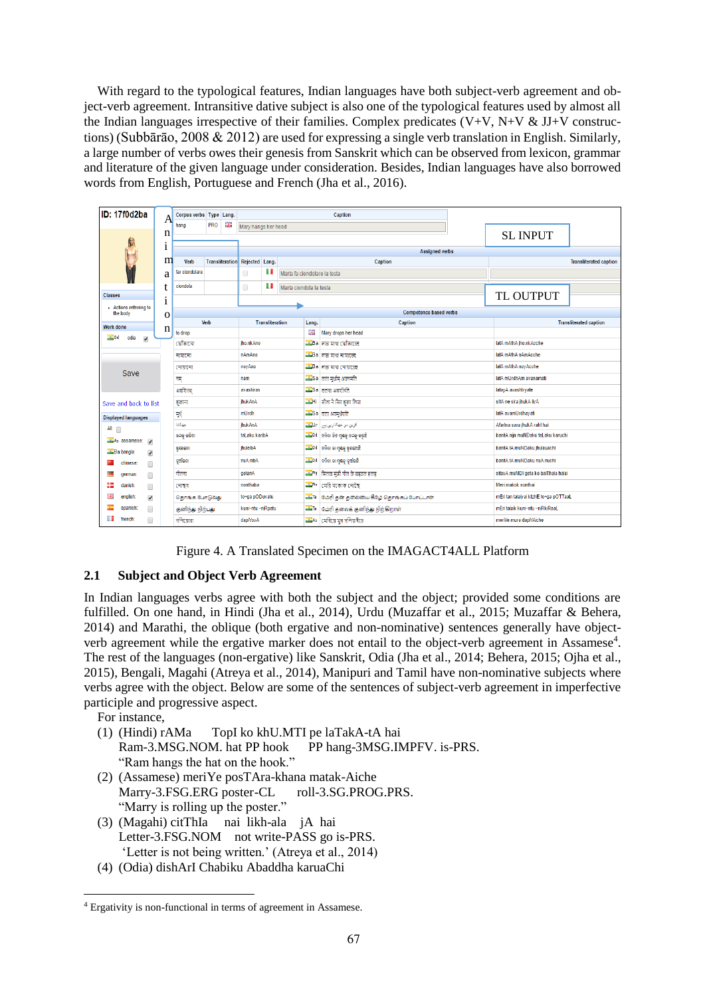With regard to the typological features, Indian languages have both subject-verb agreement and object-verb agreement. Intransitive dative subject is also one of the typological features used by almost all the Indian languages irrespective of their families. Complex predicates (V+V, N+V & JJ+V constructions) (Subbārāo, 2008 & 2012) are used for expressing a single verb translation in English. Similarly, a large number of verbs owes their genesis from Sanskrit which can be observed from lexicon, grammar and literature of the given language under consideration. Besides, Indian languages have also borrowed words from English, Portuguese and French (Jha et al., 2016).

| <b>ID: 17f0d2ba</b>                                          | A            | Corpus verbs Type Lang.                       |               |                     | Caption                |                              |                              |                                         |                                                       |                               |                                       |                               |  |
|--------------------------------------------------------------|--------------|-----------------------------------------------|---------------|---------------------|------------------------|------------------------------|------------------------------|-----------------------------------------|-------------------------------------------------------|-------------------------------|---------------------------------------|-------------------------------|--|
|                                                              |              | 鼺<br>PRO<br>hang                              |               | Mary hangs her head |                        |                              |                              |                                         |                                                       |                               |                                       |                               |  |
|                                                              | n            |                                               |               |                     |                        |                              |                              |                                         |                                                       | <b>SL INPUT</b>               |                                       |                               |  |
|                                                              | 1            |                                               |               |                     | <b>Assigned verbs</b>  |                              |                              |                                         |                                                       |                               |                                       |                               |  |
|                                                              | m            | Transliteration Rejected Lang.<br><b>Verb</b> |               |                     |                        |                              |                              |                                         | Caption                                               | <b>Transliterated caption</b> |                                       |                               |  |
|                                                              |              | far ciondolare                                |               |                     | $\Box$                 | u                            | Marta fa ciondolare la testa |                                         |                                                       |                               |                                       |                               |  |
|                                                              | a            |                                               |               |                     |                        |                              |                              |                                         |                                                       |                               |                                       |                               |  |
| <b>Classes</b>                                               |              | ciondola                                      |               |                     | $\Box$                 | H<br>Marta ciondola la testa |                              |                                         |                                                       |                               |                                       |                               |  |
|                                                              | 1            |                                               |               |                     |                        |                              |                              |                                         |                                                       |                               | TL OUTPUT                             |                               |  |
| Actions referring to<br>the body                             | $\mathbf{o}$ | <b>Competence based verbs</b>                 |               |                     |                        |                              |                              |                                         |                                                       |                               |                                       |                               |  |
| <b>Work done</b>                                             |              | Verb                                          |               |                     | <b>Transliteration</b> |                              |                              | Lang.                                   | Caption                                               |                               |                                       | <b>Transliterated caption</b> |  |
| $-0d$<br>odia                                                | n            | to drop                                       |               |                     |                        |                              | 開                            | Mary drops her head                     |                                                       |                               |                                       |                               |  |
| $\overline{\mathcal{L}}$                                     |              | ঝেঁকানো                                       |               |                     |                        | jho.nkAno                    |                              |                                         | Ba নতা মাথা ঝোঁকাচেই                                  |                               | latA mAthA jho.nkAcche                |                               |  |
|                                                              |              | নামানো                                        |               |                     |                        | nAmAno                       |                              |                                         | $26a$ नज মাথা নামাচেছ                                 |                               | latA mAthA nAmAcche                   |                               |  |
| Save                                                         |              | নোয়ানো                                       |               |                     |                        | noyAno                       |                              |                                         | $Ba$ नज गया त्यायास्त                                 |                               | latA mAthA noyAcche                   |                               |  |
|                                                              |              | नम्                                           |               |                     |                        | nam                          |                              |                                         | Sa तता मूर्धाम् अवनमति                                |                               | latA mUrdhAm avanamati                |                               |  |
|                                                              |              | अवशिरस                                        |               |                     | avashiras              |                              |                              |                                         | Sa लतया अवशीर्यते                                     |                               | latay A avashiryate                   |                               |  |
| Save and back to list                                        |              | सुकाना                                        |               |                     |                        | <b>ihukAnA</b>               |                              |                                         | <b>I</b> Hi सीता ने सिर झका तिया                      |                               | sitA ne sira ihukA livA               |                               |  |
| <b>Displayed languages</b>                                   |              | मूर्ष                                         |               |                     | mUrdh                  |                              |                              |                                         | <u>. Sa</u> लता अवमूर्धयति                            |                               | latA avamUrdhayati                    |                               |  |
| Alt $\Box$                                                   |              | حهكانا                                        |               |                     |                        | <b>ihukAnA</b>               |                              |                                         | آفرین مر جهکارین بیر Ur                               |                               | Afarina sara jhukA rahi hai           |                               |  |
| As assamese: v                                               |              | ତଳକୁ କରିବା                                    |               |                     |                        | taLaku karibA                |                              |                                         | <u>୍କ</u> ୍ରିଟିଏ । ବନିତା ନିଜ ମୁଷକୁ ତଳକୁ କରୁଛି         |                               | banitA nija muNDaku taLaku karuchi    |                               |  |
| Ba bangla:<br>$\overline{\smash[b]{\mathbf{y}}\vphantom{y}}$ |              | ଝ୍ଲେକେନା                                      |               | jhuleibA            |                        |                              |                              | <u>୍କ</u> ୍ରିପ । ବନିତା ତା ମୁଖକୁ ଝୁଲଉଅଛି |                                                       | banitA tA muNDaku jhulauachi  |                                       |                               |  |
| chinese<br>$\Box$                                            |              | ନ୍ସସାଁକଳା                                     |               |                     | nuA nibA               |                              |                              |                                         | <u>୍କ୍ରିକ</u> ଠ d   ବନିତା ତା ମୁଶକୁ ନୂଆଁରଛି            |                               | banitA tA muNDaku nuA nuchi           |                               |  |
| german<br>$\Box$                                             |              | गोतना                                         |               |                     | gotanA                 |                              |                              |                                         |                                                       |                               | sitavA muMDI gota ke baiThala halai   |                               |  |
| 膃<br>danish:<br>$\Box$                                       |              | নোম্বৰ                                        |               |                     |                        | nonthaba                     |                              |                                         | <b>I</b> (মরি মকোক নোছে                               |                               | Meri makok nonthai                    |                               |  |
| 噐<br>english:<br>$\overline{\mathcal{F}}$                    |              |                                               | தொங்க போடுவது |                     |                        | to~ga pODuvatu               |                              |                                         | <sup>டிடர்</sup> மேரி தன் தலையை கீழே தொங்கப் போட்டாள் |                               | mEri tan talaiyai klzhE to~ga pOTTaaL |                               |  |
| spanish<br>⋒                                                 |              | குனிந்து நிற்பது                              |               |                     | kuni~ntu ~niRpatu      |                              |                              |                                         | <b>ப</b> ா மேரி தலைக் குனிந்து நிற்கிறாள்             |                               | mEri talaik kuni~ntu ~niRkiRaaL       |                               |  |
| ш<br>french:<br>∩                                            |              | দণিযোৱা                                       |               |                     | dapiYovA               |                              |                              |                                         | As মেৰিয়ে মূৰ দণিয়াইচে                              |                               | meriYe mura dapiYAiche                |                               |  |

Figure 4. A Translated Specimen on the IMAGACT4ALL Platform

# **2.1 Subject and Object Verb Agreement**

In Indian languages verbs agree with both the subject and the object; provided some conditions are fulfilled. On one hand, in Hindi (Jha et al., 2014), Urdu (Muzaffar et al., 2015; Muzaffar & Behera, 2014) and Marathi, the oblique (both ergative and non-nominative) sentences generally have objectverb agreement while the ergative marker does not entail to the object-verb agreement in Assamese<sup>4</sup>. The rest of the languages (non-ergative) like Sanskrit, Odia (Jha et al., 2014; Behera, 2015; Ojha et al., 2015), Bengali, Magahi (Atreya et al., 2014), Manipuri and Tamil have non-nominative subjects where verbs agree with the object. Below are some of the sentences of subject-verb agreement in imperfective participle and progressive aspect.

For instance,

- (1) (Hindi) rAMa TopI ko khU.MTI pe laTakA-tA hai Ram-3.MSG.NOM. hat PP hook PP hang-3MSG.IMPFV. is-PRS. "Ram hangs the hat on the hook."
- (2) (Assamese) meriYe posTAra-khana matak-Aiche Marry-3.FSG.ERG poster-CL roll-3.SG.PROG.PRS. "Marry is rolling up the poster."
- (3) (Magahi) citThIa nai likh-ala jA hai Letter-3.FSG.NOM not write-PASS go is-PRS. 'Letter is not being written.' (Atreya et al., 2014)
- (4) (Odia) dishArI Chabiku Abaddha karuaChi

<sup>4</sup> Ergativity is non-functional in terms of agreement in Assamese.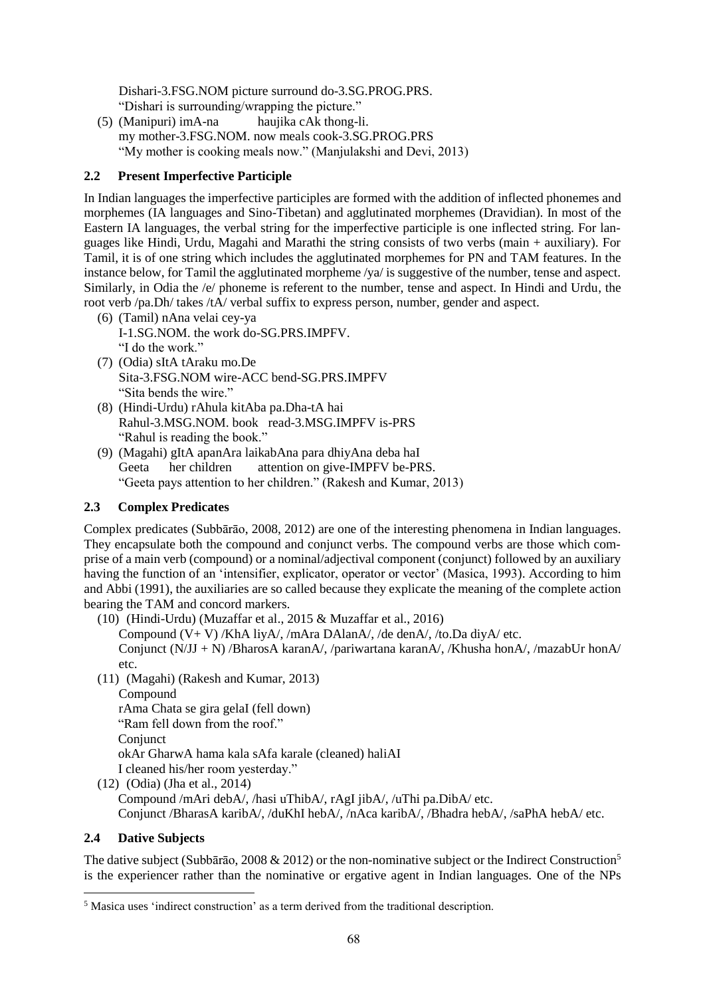Dishari-3.FSG.NOM picture surround do-3.SG.PROG.PRS. "Dishari is surrounding/wrapping the picture."

(5) (Manipuri) imA-na haujika cAk thong-li. my mother-3.FSG.NOM. now meals cook-3.SG.PROG.PRS "My mother is cooking meals now." (Manjulakshi and Devi, 2013)

# **2.2 Present Imperfective Participle**

In Indian languages the imperfective participles are formed with the addition of inflected phonemes and morphemes (IA languages and Sino-Tibetan) and agglutinated morphemes (Dravidian). In most of the Eastern IA languages, the verbal string for the imperfective participle is one inflected string. For languages like Hindi, Urdu, Magahi and Marathi the string consists of two verbs (main + auxiliary). For Tamil, it is of one string which includes the agglutinated morphemes for PN and TAM features. In the instance below, for Tamil the agglutinated morpheme /ya/ is suggestive of the number, tense and aspect. Similarly, in Odia the /e/ phoneme is referent to the number, tense and aspect. In Hindi and Urdu, the root verb /pa.Dh/ takes /tA/ verbal suffix to express person, number, gender and aspect.

- (6) (Tamil) nAna velai cey-ya I-1.SG.NOM. the work do-SG.PRS.IMPFV. "I do the work."
- (7) (Odia) sItA tAraku mo.De Sita-3.FSG.NOM wire-ACC bend-SG.PRS.IMPFV "Sita bends the wire."
- (8) (Hindi-Urdu) rAhula kitAba pa.Dha-tA hai Rahul-3.MSG.NOM. book read-3.MSG.IMPFV is-PRS "Rahul is reading the book."
- (9) (Magahi) gItA apanAra laikabAna para dhiyAna deba haI Geeta her children attention on give-IMPFV be-PRS. "Geeta pays attention to her children." (Rakesh and Kumar, 2013)

### **2.3 Complex Predicates**

Complex predicates (Subbārāo, 2008, 2012) are one of the interesting phenomena in Indian languages. They encapsulate both the compound and conjunct verbs. The compound verbs are those which comprise of a main verb (compound) or a nominal/adjectival component (conjunct) followed by an auxiliary having the function of an 'intensifier, explicator, operator or vector' (Masica, 1993). According to him and Abbi (1991), the auxiliaries are so called because they explicate the meaning of the complete action bearing the TAM and concord markers.

(10) (Hindi-Urdu) (Muzaffar et al., 2015 & Muzaffar et al., 2016) Compound (V+ V) /KhA liyA/, /mAra DAlanA/, /de denA/, /to.Da diyA/ etc. Conjunct (N/JJ + N) /BharosA karanA/, /pariwartana karanA/, /Khusha honA/, /mazabUr honA/ etc.

(11) (Magahi) (Rakesh and Kumar, 2013)

**Compound** rAma Chata se gira gelaI (fell down) "Ram fell down from the roof." **Conjunct** okAr GharwA hama kala sAfa karale (cleaned) haliAI I cleaned his/her room yesterday."

(12) (Odia) (Jha et al., 2014) Compound /mAri debA/, /hasi uThibA/, rAgI jibA/, /uThi pa.DibA/ etc. Conjunct /BharasA karibA/, /duKhI hebA/, /nAca karibA/, /Bhadra hebA/, /saPhA hebA/ etc.

### **2.4 Dative Subjects**

The dative subject (Subbārão, 2008 & 2012) or the non-nominative subject or the Indirect Construction<sup>5</sup> is the experiencer rather than the nominative or ergative agent in Indian languages. One of the NPs

<sup>5</sup> Masica uses 'indirect construction' as a term derived from the traditional description.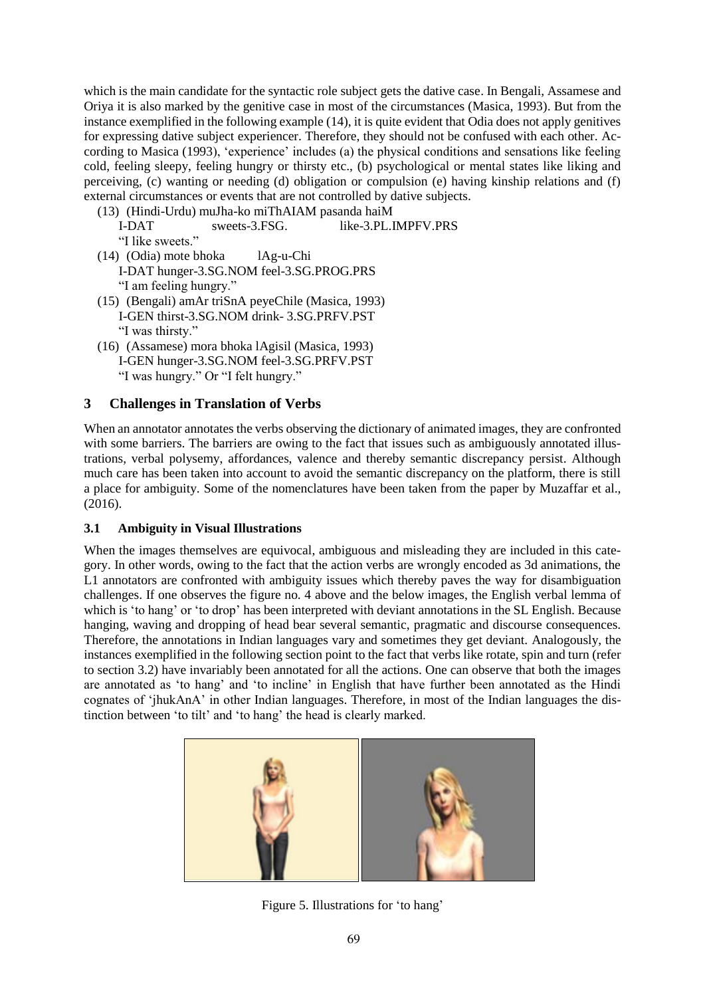which is the main candidate for the syntactic role subject gets the dative case. In Bengali, Assamese and Oriya it is also marked by the genitive case in most of the circumstances (Masica, 1993). But from the instance exemplified in the following example (14), it is quite evident that Odia does not apply genitives for expressing dative subject experiencer. Therefore, they should not be confused with each other. According to Masica (1993), 'experience' includes (a) the physical conditions and sensations like feeling cold, feeling sleepy, feeling hungry or thirsty etc., (b) psychological or mental states like liking and perceiving, (c) wanting or needing (d) obligation or compulsion (e) having kinship relations and (f) external circumstances or events that are not controlled by dative subjects.

- (13) (Hindi-Urdu) muJha-ko miThAIAM pasanda haiM I-DAT sweets-3.FSG. like-3.PL.IMPFV.PRS "I like sweets."
- (14) (Odia) mote bhoka lAg-u-Chi I-DAT hunger-3.SG.NOM feel-3.SG.PROG.PRS "I am feeling hungry."
- (15) (Bengali) amAr triSnA peyeChile (Masica, 1993) I-GEN thirst-3.SG.NOM drink- 3.SG.PRFV.PST "I was thirsty."
- (16) (Assamese) mora bhoka lAgisil (Masica, 1993) I-GEN hunger-3.SG.NOM feel-3.SG.PRFV.PST "I was hungry." Or "I felt hungry."

# **3 Challenges in Translation of Verbs**

When an annotator annotates the verbs observing the dictionary of animated images, they are confronted with some barriers. The barriers are owing to the fact that issues such as ambiguously annotated illustrations, verbal polysemy, affordances, valence and thereby semantic discrepancy persist. Although much care has been taken into account to avoid the semantic discrepancy on the platform, there is still a place for ambiguity. Some of the nomenclatures have been taken from the paper by Muzaffar et al., (2016).

# **3.1 Ambiguity in Visual Illustrations**

When the images themselves are equivocal, ambiguous and misleading they are included in this category. In other words, owing to the fact that the action verbs are wrongly encoded as 3d animations, the L1 annotators are confronted with ambiguity issues which thereby paves the way for disambiguation challenges. If one observes the figure no. 4 above and the below images, the English verbal lemma of which is 'to hang' or 'to drop' has been interpreted with deviant annotations in the SL English. Because hanging, waving and dropping of head bear several semantic, pragmatic and discourse consequences. Therefore, the annotations in Indian languages vary and sometimes they get deviant. Analogously, the instances exemplified in the following section point to the fact that verbs like rotate, spin and turn (refer to section 3.2) have invariably been annotated for all the actions. One can observe that both the images are annotated as 'to hang' and 'to incline' in English that have further been annotated as the Hindi cognates of 'jhukAnA' in other Indian languages. Therefore, in most of the Indian languages the distinction between 'to tilt' and 'to hang' the head is clearly marked.



Figure 5. Illustrations for 'to hang'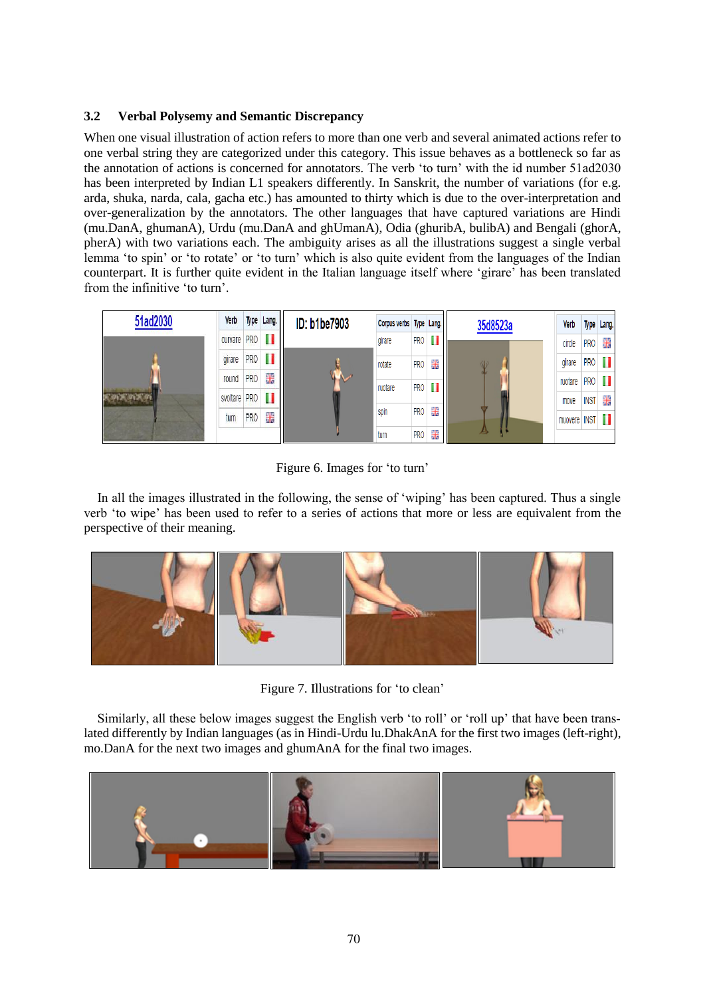### **3.2 Verbal Polysemy and Semantic Discrepancy**

When one visual illustration of action refers to more than one verb and several animated actions refer to one verbal string they are categorized under this category. This issue behaves as a bottleneck so far as the annotation of actions is concerned for annotators. The verb 'to turn' with the id number 51ad2030 has been interpreted by Indian L1 speakers differently. In Sanskrit, the number of variations (for e.g. arda, shuka, narda, cala, gacha etc.) has amounted to thirty which is due to the over-interpretation and over-generalization by the annotators. The other languages that have captured variations are Hindi (mu.DanA, ghumanA), Urdu (mu.DanA and ghUmanA), Odia (ghuribA, bulibA) and Bengali (ghorA, pherA) with two variations each. The ambiguity arises as all the illustrations suggest a single verbal lemma 'to spin' or 'to rotate' or 'to turn' which is also quite evident from the languages of the Indian counterpart. It is further quite evident in the Italian language itself where 'girare' has been translated from the infinitive 'to turn'.



Figure 6. Images for 'to turn'

In all the images illustrated in the following, the sense of 'wiping' has been captured. Thus a single verb 'to wipe' has been used to refer to a series of actions that more or less are equivalent from the perspective of their meaning.



Figure 7. Illustrations for 'to clean'

Similarly, all these below images suggest the English verb 'to roll' or 'roll up' that have been translated differently by Indian languages (as in Hindi-Urdu lu.DhakAnA for the first two images (left-right), mo.DanA for the next two images and ghumAnA for the final two images.

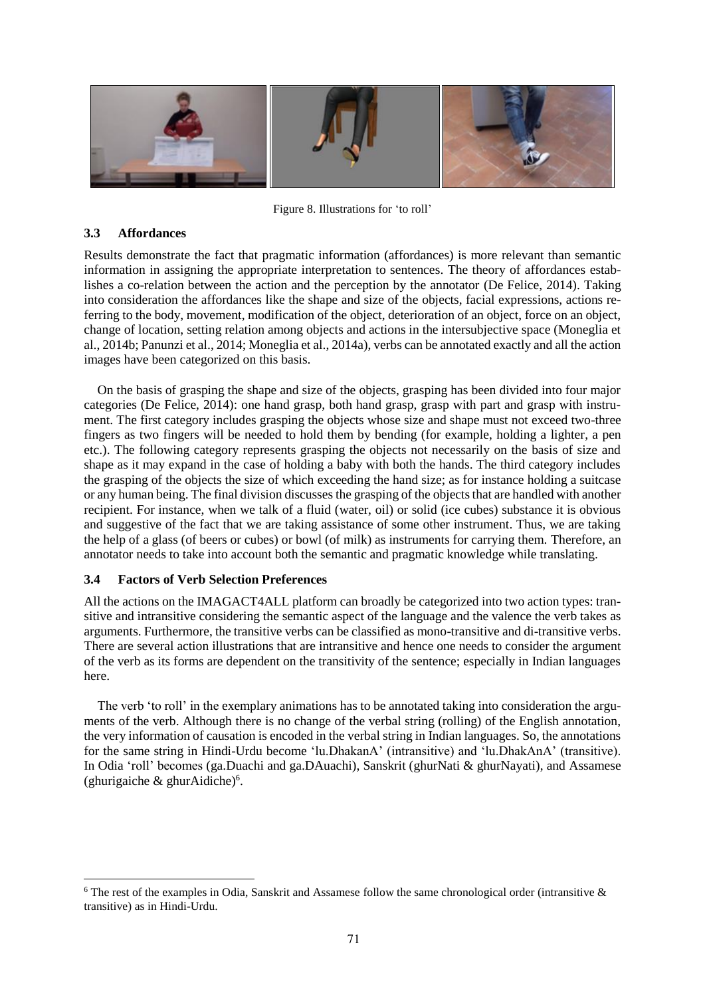

Figure 8. Illustrations for 'to roll'

### **3.3 Affordances**

Results demonstrate the fact that pragmatic information (affordances) is more relevant than semantic information in assigning the appropriate interpretation to sentences. The theory of affordances establishes a co-relation between the action and the perception by the annotator (De Felice, 2014). Taking into consideration the affordances like the shape and size of the objects, facial expressions, actions referring to the body, movement, modification of the object, deterioration of an object, force on an object, change of location, setting relation among objects and actions in the intersubjective space (Moneglia et al., 2014b; Panunzi et al., 2014; Moneglia et al., 2014a), verbs can be annotated exactly and all the action images have been categorized on this basis.

On the basis of grasping the shape and size of the objects, grasping has been divided into four major categories (De Felice, 2014): one hand grasp, both hand grasp, grasp with part and grasp with instrument. The first category includes grasping the objects whose size and shape must not exceed two-three fingers as two fingers will be needed to hold them by bending (for example, holding a lighter, a pen etc.). The following category represents grasping the objects not necessarily on the basis of size and shape as it may expand in the case of holding a baby with both the hands. The third category includes the grasping of the objects the size of which exceeding the hand size; as for instance holding a suitcase or any human being. The final division discusses the grasping of the objects that are handled with another recipient. For instance, when we talk of a fluid (water, oil) or solid (ice cubes) substance it is obvious and suggestive of the fact that we are taking assistance of some other instrument. Thus, we are taking the help of a glass (of beers or cubes) or bowl (of milk) as instruments for carrying them. Therefore, an annotator needs to take into account both the semantic and pragmatic knowledge while translating.

# **3.4 Factors of Verb Selection Preferences**

All the actions on the IMAGACT4ALL platform can broadly be categorized into two action types: transitive and intransitive considering the semantic aspect of the language and the valence the verb takes as arguments. Furthermore, the transitive verbs can be classified as mono-transitive and di-transitive verbs. There are several action illustrations that are intransitive and hence one needs to consider the argument of the verb as its forms are dependent on the transitivity of the sentence; especially in Indian languages here.

The verb 'to roll' in the exemplary animations has to be annotated taking into consideration the arguments of the verb. Although there is no change of the verbal string (rolling) of the English annotation, the very information of causation is encoded in the verbal string in Indian languages. So, the annotations for the same string in Hindi-Urdu become 'lu.DhakanA' (intransitive) and 'lu.DhakAnA' (transitive). In Odia 'roll' becomes (ga.Duachi and ga.DAuachi), Sanskrit (ghurNati & ghurNayati), and Assamese (ghurigaiche & ghurAidiche)<sup>6</sup>.

<sup>6</sup> The rest of the examples in Odia, Sanskrit and Assamese follow the same chronological order (intransitive & transitive) as in Hindi-Urdu.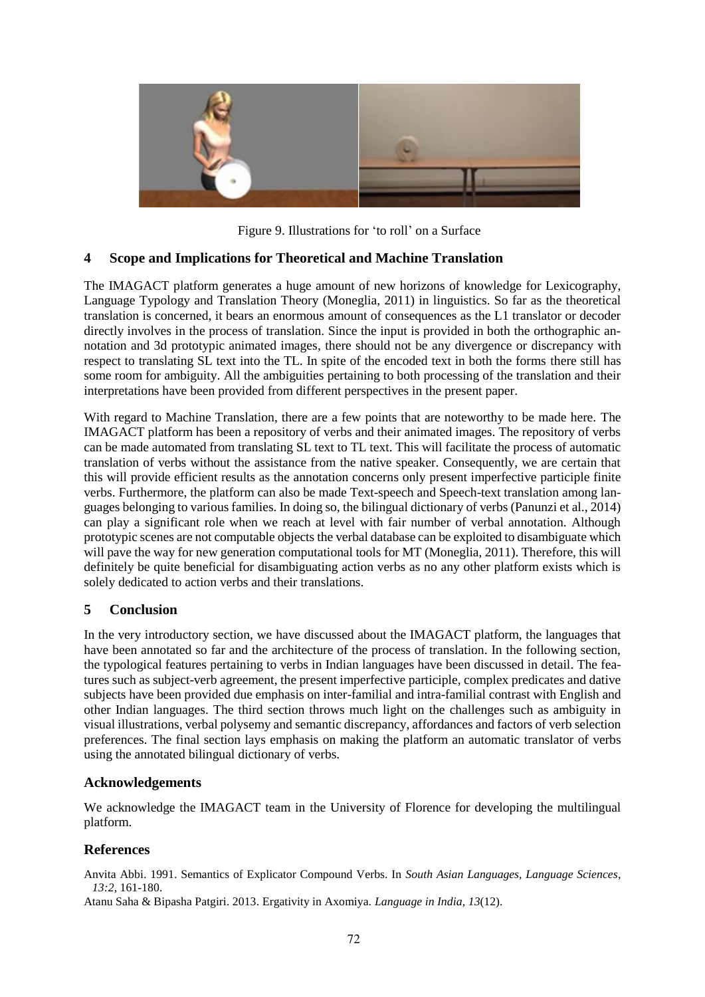

Figure 9. Illustrations for 'to roll' on a Surface

# **4 Scope and Implications for Theoretical and Machine Translation**

The IMAGACT platform generates a huge amount of new horizons of knowledge for Lexicography, Language Typology and Translation Theory (Moneglia, 2011) in linguistics. So far as the theoretical translation is concerned, it bears an enormous amount of consequences as the L1 translator or decoder directly involves in the process of translation. Since the input is provided in both the orthographic annotation and 3d prototypic animated images, there should not be any divergence or discrepancy with respect to translating SL text into the TL. In spite of the encoded text in both the forms there still has some room for ambiguity. All the ambiguities pertaining to both processing of the translation and their interpretations have been provided from different perspectives in the present paper.

With regard to Machine Translation, there are a few points that are noteworthy to be made here. The IMAGACT platform has been a repository of verbs and their animated images. The repository of verbs can be made automated from translating SL text to TL text. This will facilitate the process of automatic translation of verbs without the assistance from the native speaker. Consequently, we are certain that this will provide efficient results as the annotation concerns only present imperfective participle finite verbs. Furthermore, the platform can also be made Text-speech and Speech-text translation among languages belonging to various families. In doing so, the bilingual dictionary of verbs (Panunzi et al., 2014) can play a significant role when we reach at level with fair number of verbal annotation. Although prototypic scenes are not computable objects the verbal database can be exploited to disambiguate which will pave the way for new generation computational tools for MT (Moneglia, 2011). Therefore, this will definitely be quite beneficial for disambiguating action verbs as no any other platform exists which is solely dedicated to action verbs and their translations.

# **5 Conclusion**

In the very introductory section, we have discussed about the IMAGACT platform, the languages that have been annotated so far and the architecture of the process of translation. In the following section, the typological features pertaining to verbs in Indian languages have been discussed in detail. The features such as subject-verb agreement, the present imperfective participle, complex predicates and dative subjects have been provided due emphasis on inter-familial and intra-familial contrast with English and other Indian languages. The third section throws much light on the challenges such as ambiguity in visual illustrations, verbal polysemy and semantic discrepancy, affordances and factors of verb selection preferences. The final section lays emphasis on making the platform an automatic translator of verbs using the annotated bilingual dictionary of verbs.

# **Acknowledgements**

We acknowledge the IMAGACT team in the University of Florence for developing the multilingual platform.

# **References**

Anvita Abbi. 1991. Semantics of Explicator Compound Verbs. In *South Asian Languages, Language Sciences*, *13:2,* 161-180.

Atanu Saha & Bipasha Patgiri. 2013. Ergativity in Axomiya. *Language in India*, *13*(12).